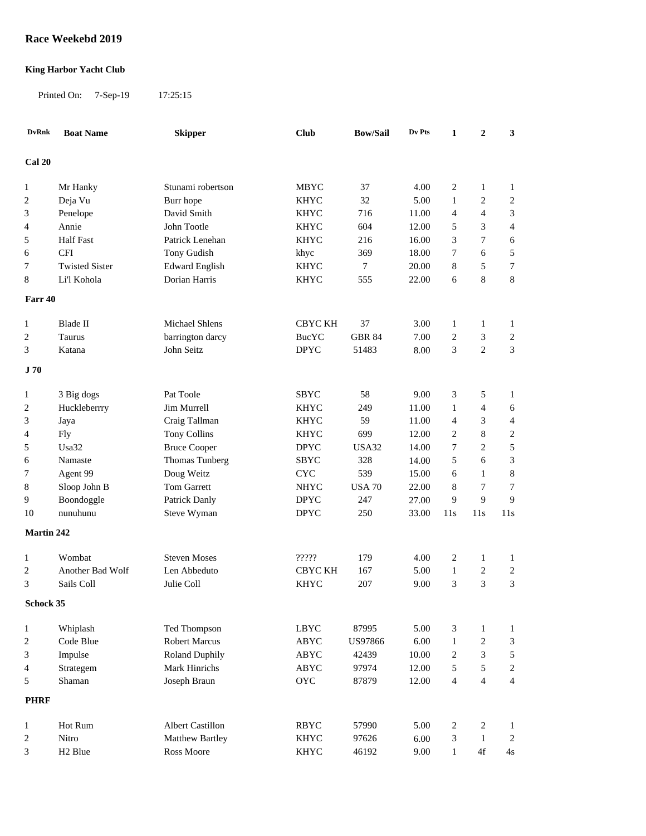## **Race Weekebd 2019**

## **King Harbor Yacht Club**

Printed On: 7-Sep-19 17:25:15

| <b>DvRnk</b>      | <b>Boat Name</b>      | <b>Skipper</b>        | <b>Club</b>    | <b>Bow/Sail</b> | Dv Pts | 1              | $\boldsymbol{2}$ | 3                   |
|-------------------|-----------------------|-----------------------|----------------|-----------------|--------|----------------|------------------|---------------------|
| Cal 20            |                       |                       |                |                 |        |                |                  |                     |
|                   | Mr Hanky              | Stunami robertson     | <b>MBYC</b>    | 37              | 4.00   | $\overline{c}$ | $\mathbf{1}$     | $\mathbf{1}$        |
| $\mathbf{1}$      | Deja Vu               | Burr hope             | <b>KHYC</b>    | 32              | 5.00   | $\mathbf{1}$   | $\sqrt{2}$       | $\sqrt{2}$          |
| 2                 |                       | David Smith           |                |                 |        | 4              | $\overline{4}$   |                     |
| 3                 | Penelope              |                       | <b>KHYC</b>    | 716             | 11.00  |                | 3                | 3                   |
| 4                 | Annie                 | John Tootle           | <b>KHYC</b>    | 604             | 12.00  | 5              |                  | $\overline{4}$      |
| 5                 | <b>Half Fast</b>      | Patrick Lenehan       | <b>KHYC</b>    | 216             | 16.00  | 3              | 7                | 6                   |
| 6                 | <b>CFI</b>            | Tony Gudish           | khyc           | 369             | 18.00  | 7              | 6                | 5                   |
| 7                 | <b>Twisted Sister</b> | <b>Edward English</b> | <b>KHYC</b>    | 7               | 20.00  | $\,$ 8 $\,$    | 5                | $\boldsymbol{7}$    |
| 8                 | Li'l Kohola           | Dorian Harris         | <b>KHYC</b>    | 555             | 22.00  | 6              | 8                | $8\,$               |
| Farr 40           |                       |                       |                |                 |        |                |                  |                     |
| 1                 | Blade II              | Michael Shlens        | <b>CBYC KH</b> | 37              | 3.00   | $\mathbf{1}$   | $\mathbf{1}$     | 1                   |
| 2                 | Taurus                | barrington darcy      | <b>BucYC</b>   | <b>GBR 84</b>   | 7.00   | 2              | 3                | $\overline{c}$      |
| 3                 | Katana                | John Seitz            | <b>DPYC</b>    | 51483           | 8.00   | 3              | $\overline{2}$   | 3                   |
| J 70              |                       |                       |                |                 |        |                |                  |                     |
|                   | 3 Big dogs            | Pat Toole             | <b>SBYC</b>    | 58              | 9.00   | 3              | 5                | 1                   |
| $\mathbf{1}$<br>2 | Huckleberrry          | Jim Murrell           | <b>KHYC</b>    | 249             | 11.00  | $\mathbf{1}$   | $\overline{4}$   | 6                   |
| 3                 |                       | Craig Tallman         | <b>KHYC</b>    | 59              | 11.00  | 4              | 3                | $\overline{4}$      |
|                   | Jaya                  |                       | <b>KHYC</b>    | 699             | 12.00  |                | 8                |                     |
| 4                 | <b>Fly</b><br>Usa32   | <b>Tony Collins</b>   | <b>DPYC</b>    | USA32           |        | 2<br>7         | $\mathbf{2}$     | $\overline{c}$<br>5 |
| 5                 |                       | <b>Bruce Cooper</b>   |                | 328             | 14.00  | 5              | 6                |                     |
| 6                 | Namaste               | Thomas Tunberg        | SBYC           | 539             | 14.00  |                |                  | 3                   |
| 7                 | Agent 99              | Doug Weitz            | <b>CYC</b>     |                 | 15.00  | 6              | 1                | 8                   |
| 8                 | Sloop John B          | <b>Tom Garrett</b>    | <b>NHYC</b>    | <b>USA 70</b>   | 22.00  | 8              | 7                | $\boldsymbol{7}$    |
| 9                 | Boondoggle            | Patrick Danly         | <b>DPYC</b>    | 247             | 27.00  | 9              | 9                | 9                   |
| 10                | nunuhunu              | Steve Wyman           | <b>DPYC</b>    | 250             | 33.00  | 11s            | 11s              | 11s                 |
| Martin 242        |                       |                       |                |                 |        |                |                  |                     |
| 1                 | Wombat                | <b>Steven Moses</b>   | ?????          | 179             | 4.00   | $\overline{c}$ | 1                | $\mathbf{1}$        |
| 2                 | Another Bad Wolf      | Len Abbeduto          | CBYC KH        | 167             | 5.00   | $\mathbf{1}$   | 2                | $\overline{c}$      |
| 3                 | Sails Coll            | Julie Coll            | <b>KHYC</b>    | 207             | 9.00   | 3              | 3                | 3                   |
| Schock 35         |                       |                       |                |                 |        |                |                  |                     |
| $\mathbf{1}$      | Whiplash              | Ted Thompson          | <b>LBYC</b>    | 87995           | 5.00   | 3              | $\mathbf{1}$     | $\mathbf{1}$        |
| $\boldsymbol{2}$  | Code Blue             | <b>Robert Marcus</b>  | ABYC           | <b>US97866</b>  | 6.00   | $\mathbf{1}$   | $\overline{c}$   | $\mathfrak{Z}$      |
| 3                 | Impulse               | <b>Roland Duphily</b> | ABYC           | 42439           | 10.00  | $\overline{c}$ | 3                | $\sqrt{5}$          |
| 4                 | Strategem             | Mark Hinrichs         | ABYC           | 97974           | 12.00  | 5              | 5                | $\overline{c}$      |
| 5                 | Shaman                | Joseph Braun          | <b>OYC</b>     | 87879           | 12.00  | $\overline{4}$ | $\overline{4}$   | $\overline{4}$      |
| <b>PHRF</b>       |                       |                       |                |                 |        |                |                  |                     |
|                   |                       |                       |                |                 |        |                |                  |                     |
| $\mathbf{1}$      | Hot Rum               | Albert Castillon      | <b>RBYC</b>    | 57990           | 5.00   | 2              | $\sqrt{2}$       | $\mathbf{1}$        |
| $\overline{c}$    | Nitro                 | Matthew Bartley       | <b>KHYC</b>    | 97626           | 6.00   | 3              | $\mathbf{1}$     | $\sqrt{2}$          |
| 3                 | H <sub>2</sub> Blue   | Ross Moore            | <b>KHYC</b>    | 46192           | 9.00   | $\mathbf{1}$   | $4f$             | 4s                  |